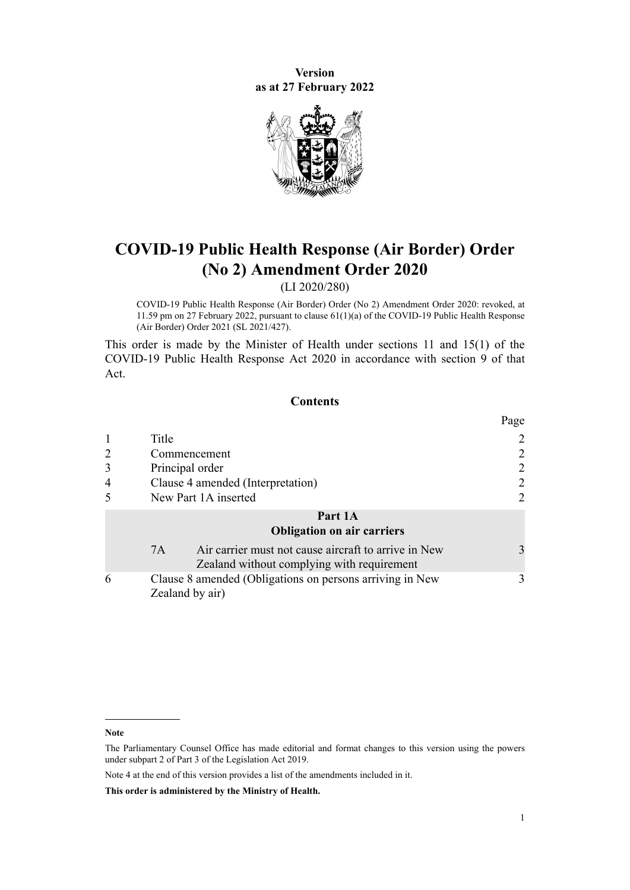**Version as at 27 February 2022**



# **COVID-19 Public Health Response (Air Border) Order (No 2) Amendment Order 2020**

(LI 2020/280)

COVID-19 Public Health Response (Air Border) Order (No 2) Amendment Order 2020: revoked, at 11.59 pm on 27 February 2022, pursuant to [clause 61\(1\)\(a\)](http://legislation.govt.nz/pdflink.aspx?id=LMS577925) of the COVID-19 Public Health Response (Air Border) Order 2021 (SL 2021/427).

This order is made by the Minister of Health under [sections 11](http://legislation.govt.nz/pdflink.aspx?id=LMS344177) and [15\(1\)](http://legislation.govt.nz/pdflink.aspx?id=LMS344183) of the [COVID-19 Public Health Response Act 2020](http://legislation.govt.nz/pdflink.aspx?id=LMS344121) in accordance with [section 9](http://legislation.govt.nz/pdflink.aspx?id=LMS344175) of that Act.

## **Contents**

|                |                                                                                                          | Page         |
|----------------|----------------------------------------------------------------------------------------------------------|--------------|
|                | Title                                                                                                    | 2            |
|                | Commencement                                                                                             |              |
|                | Principal order                                                                                          | 2            |
| $\overline{4}$ | Clause 4 amended (Interpretation)                                                                        | 2            |
|                | New Part 1A inserted                                                                                     | 2            |
|                | Part 1A<br><b>Obligation on air carriers</b>                                                             |              |
|                | Air carrier must not cause aircraft to arrive in New<br>7A<br>Zealand without complying with requirement | $\mathbf{3}$ |
| 6              | Clause 8 amended (Obligations on persons arriving in New<br>Zealand by air)                              | 3            |

**Note**

The Parliamentary Counsel Office has made editorial and format changes to this version using the powers under [subpart 2](http://legislation.govt.nz/pdflink.aspx?id=DLM7298371) of Part 3 of the Legislation Act 2019.

Note 4 at the end of this version provides a list of the amendments included in it.

**This order is administered by the Ministry of Health.**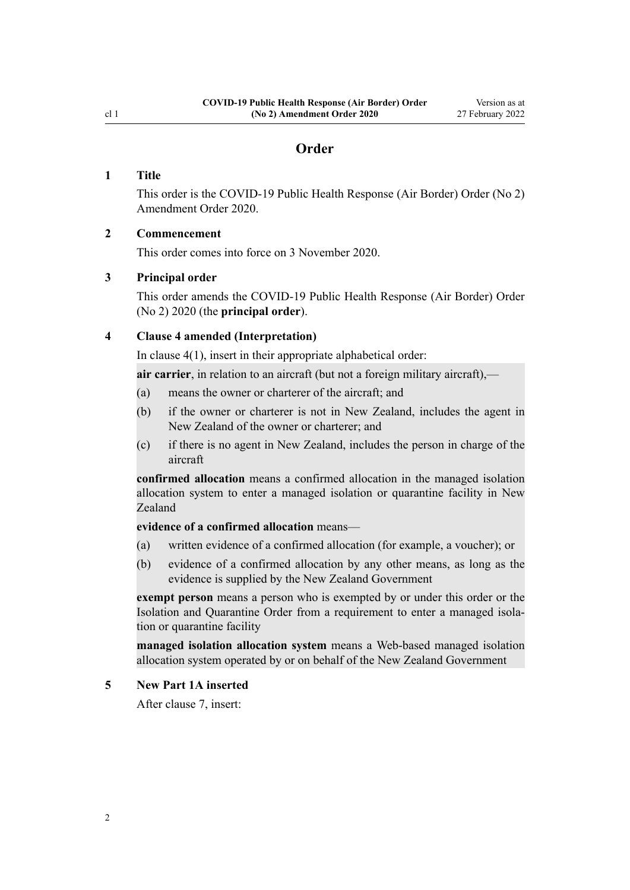# **Order**

## <span id="page-1-0"></span>**1 Title**

This order is the COVID-19 Public Health Response (Air Border) Order (No 2) Amendment Order 2020.

## **2 Commencement**

This order comes into force on 3 November 2020.

## **3 Principal order**

This order amends the [COVID-19 Public Health Response \(Air Border\) Order](http://legislation.govt.nz/pdflink.aspx?id=LMS403345) [\(No 2\) 2020](http://legislation.govt.nz/pdflink.aspx?id=LMS403345) (the **principal order**).

## **4 Clause 4 amended (Interpretation)**

In [clause 4\(1\)](http://legislation.govt.nz/pdflink.aspx?id=LMS403369), insert in their appropriate alphabetical order:

**air carrier**, in relation to an aircraft (but not a foreign military aircraft),—

- (a) means the owner or charterer of the aircraft; and
- (b) if the owner or charterer is not in New Zealand, includes the agent in New Zealand of the owner or charterer; and
- (c) if there is no agent in New Zealand, includes the person in charge of the aircraft

**confirmed allocation** means a confirmed allocation in the managed isolation allocation system to enter a managed isolation or quarantine facility in New Zealand

## **evidence of a confirmed allocation** means—

- (a) written evidence of a confirmed allocation (for example, a voucher); or
- (b) evidence of a confirmed allocation by any other means, as long as the evidence is supplied by the New Zealand Government

**exempt person** means a person who is exempted by or under this order or the Isolation and Quarantine Order from a requirement to enter a managed isolation or quarantine facility

**managed isolation allocation system** means a Web-based managed isolation allocation system operated by or on behalf of the New Zealand Government

#### **5 New Part 1A inserted**

After [clause 7,](http://legislation.govt.nz/pdflink.aspx?id=LMS403372) insert: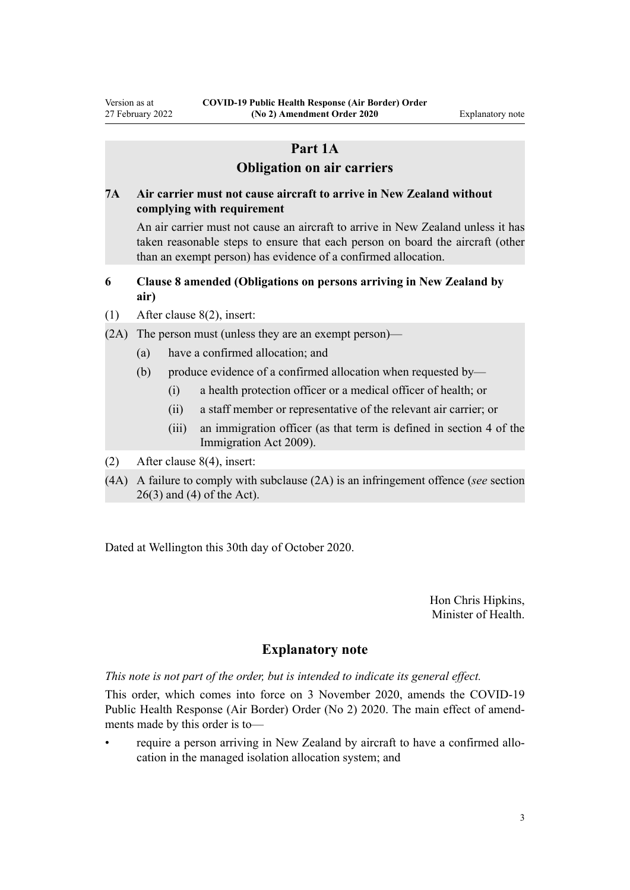# **Part 1A**

# **Obligation on air carriers**

## <span id="page-2-0"></span>**7A Air carrier must not cause aircraft to arrive in New Zealand without complying with requirement**

An air carrier must not cause an aircraft to arrive in New Zealand unless it has taken reasonable steps to ensure that each person on board the aircraft (other than an exempt person) has evidence of a confirmed allocation.

# **6 Clause 8 amended (Obligations on persons arriving in New Zealand by air)**

- (1) After [clause 8\(2\)](http://legislation.govt.nz/pdflink.aspx?id=LMS403374), insert:
- (2A) The person must (unless they are an exempt person)—
	- (a) have a confirmed allocation; and
	- (b) produce evidence of a confirmed allocation when requested by—
		- (i) a health protection officer or a medical officer of health; or
		- (ii) a staff member or representative of the relevant air carrier; or
		- (iii) an immigration officer (as that term is defined in section 4 of the Immigration Act 2009).
- (2) After [clause 8\(4\)](http://legislation.govt.nz/pdflink.aspx?id=LMS403374), insert:
- (4A) A failure to comply with subclause (2A) is an infringement offence (*see* section 26(3) and (4) of the Act).

Dated at Wellington this 30th day of October 2020.

Hon Chris Hipkins, Minister of Health.

# **Explanatory note**

*This note is not part of the order, but is intended to indicate its general effect.*

This order, which comes into force on 3 November 2020, amends the [COVID-19](http://legislation.govt.nz/pdflink.aspx?id=LMS403345) [Public Health Response \(Air Border\) Order \(No 2\) 2020](http://legislation.govt.nz/pdflink.aspx?id=LMS403345). The main effect of amend‐ ments made by this order is to—

• require a person arriving in New Zealand by aircraft to have a confirmed allo‐ cation in the managed isolation allocation system; and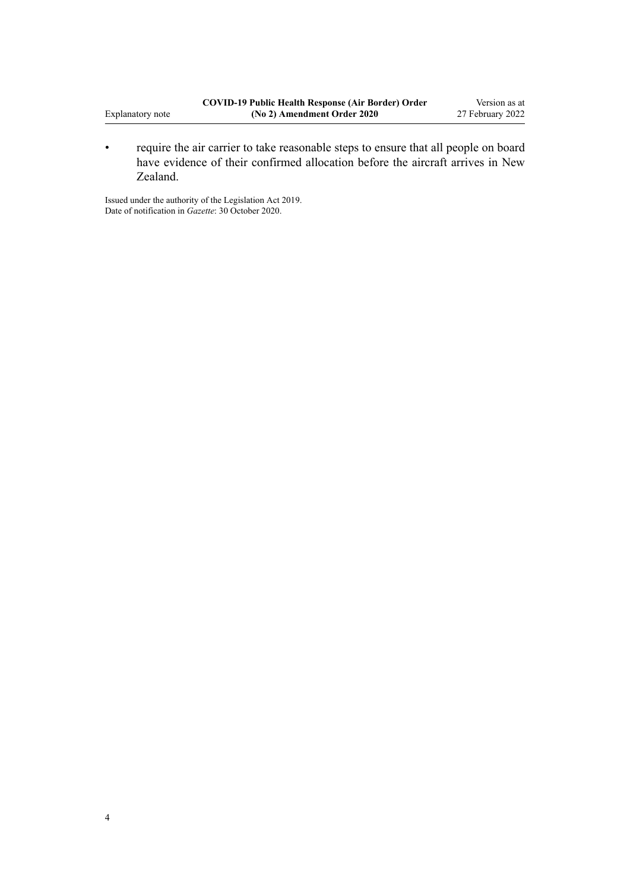• require the air carrier to take reasonable steps to ensure that all people on board have evidence of their confirmed allocation before the aircraft arrives in New Zealand.

Issued under the authority of the [Legislation Act 2019](http://legislation.govt.nz/pdflink.aspx?id=DLM7298104). Date of notification in *Gazette*: 30 October 2020.